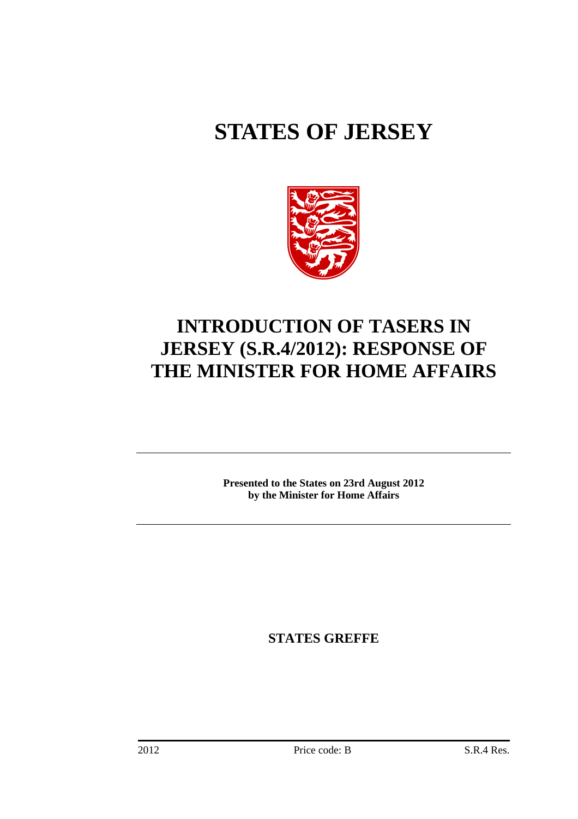# **STATES OF JERSEY**



## **INTRODUCTION OF TASERS IN JERSEY (S.R.4/2012): RESPONSE OF THE MINISTER FOR HOME AFFAIRS**

**Presented to the States on 23rd August 2012 by the Minister for Home Affairs** 

**STATES GREFFE**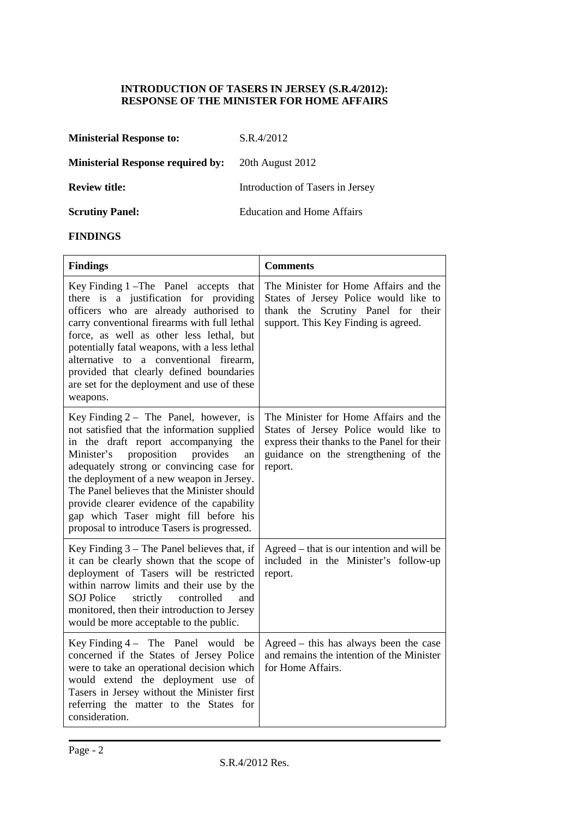#### **INTRODUCTION OF TASERS IN JERSEY (S.R.4/2012): RESPONSE OF THE MINISTER FOR HOME AFFAIRS**

| <b>Ministerial Response to:</b>          | S.R.4/2012                       |
|------------------------------------------|----------------------------------|
| <b>Ministerial Response required by:</b> | 20th August 2012                 |
| <b>Review title:</b>                     | Introduction of Tasers in Jersey |
| <b>Scrutiny Panel:</b>                   | Education and Home Affairs       |

#### **FINDINGS**

| <b>Findings</b>                                                                                                                                                                                                                                                                                                                                                                                                                                                 | <b>Comments</b>                                                                                                                                                                  |
|-----------------------------------------------------------------------------------------------------------------------------------------------------------------------------------------------------------------------------------------------------------------------------------------------------------------------------------------------------------------------------------------------------------------------------------------------------------------|----------------------------------------------------------------------------------------------------------------------------------------------------------------------------------|
| Key Finding 1 – The Panel accepts<br>that<br>there is a justification for providing<br>officers who are already authorised to<br>carry conventional firearms with full lethal<br>force, as well as other less lethal, but<br>potentially fatal weapons, with a less lethal<br>alternative to a conventional firearm,<br>provided that clearly defined boundaries<br>are set for the deployment and use of these<br>weapons.                                     | The Minister for Home Affairs and the<br>States of Jersey Police would like to<br>thank the Scrutiny Panel for their<br>support. This Key Finding is agreed.                     |
| Key Finding $2 -$ The Panel, however, is<br>not satisfied that the information supplied<br>in the draft report accompanying<br>the<br>proposition<br>provides<br>Minister's<br>an<br>adequately strong or convincing case for<br>the deployment of a new weapon in Jersey.<br>The Panel believes that the Minister should<br>provide clearer evidence of the capability<br>gap which Taser might fill before his<br>proposal to introduce Tasers is progressed. | The Minister for Home Affairs and the<br>States of Jersey Police would like to<br>express their thanks to the Panel for their<br>guidance on the strengthening of the<br>report. |
| Key Finding $3$ – The Panel believes that, if<br>it can be clearly shown that the scope of<br>deployment of Tasers will be restricted<br>within narrow limits and their use by the<br><b>SOJ Police</b><br>strictly<br>controlled<br>and<br>monitored, then their introduction to Jersey<br>would be more acceptable to the public.                                                                                                                             | Agreed – that is our intention and will be<br>included in the Minister's follow-up<br>report.                                                                                    |
| Key Finding $4 -$ The Panel would be<br>concerned if the States of Jersey Police<br>were to take an operational decision which<br>would extend the deployment use of<br>Tasers in Jersey without the Minister first<br>referring the matter to the States for<br>consideration.                                                                                                                                                                                 | Agreed - this has always been the case<br>and remains the intention of the Minister<br>for Home Affairs.                                                                         |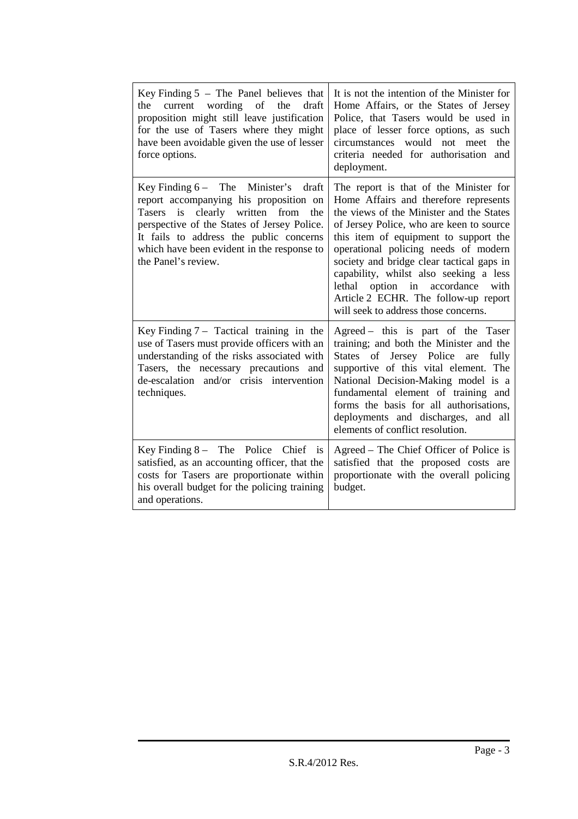| Key Finding $5$ – The Panel believes that<br>the<br>wording<br>of<br>the<br>draft<br>current<br>proposition might still leave justification<br>for the use of Tasers where they might<br>have been avoidable given the use of lesser<br>force options.                                      | It is not the intention of the Minister for<br>Home Affairs, or the States of Jersey<br>Police, that Tasers would be used in<br>place of lesser force options, as such<br>circumstances would not meet the<br>criteria needed for authorisation and<br>deployment.                                                                                                                                                                                                  |
|---------------------------------------------------------------------------------------------------------------------------------------------------------------------------------------------------------------------------------------------------------------------------------------------|---------------------------------------------------------------------------------------------------------------------------------------------------------------------------------------------------------------------------------------------------------------------------------------------------------------------------------------------------------------------------------------------------------------------------------------------------------------------|
| Key Finding $6 -$ The Minister's<br>draft<br>report accompanying his proposition on<br>Tasers is clearly written from<br>the<br>perspective of the States of Jersey Police.<br>It fails to address the public concerns<br>which have been evident in the response to<br>the Panel's review. | The report is that of the Minister for<br>Home Affairs and therefore represents<br>the views of the Minister and the States<br>of Jersey Police, who are keen to source<br>this item of equipment to support the<br>operational policing needs of modern<br>society and bridge clear tactical gaps in<br>capability, whilst also seeking a less<br>lethal option in accordance with<br>Article 2 ECHR. The follow-up report<br>will seek to address those concerns. |
| Key Finding $7 -$ Tactical training in the<br>use of Tasers must provide officers with an<br>understanding of the risks associated with<br>Tasers, the necessary precautions and<br>de-escalation and/or crisis intervention<br>techniques.                                                 | Agreed – this is part of the Taser<br>training; and both the Minister and the<br>States of Jersey Police are<br>fully<br>supportive of this vital element. The<br>National Decision-Making model is a<br>fundamental element of training and<br>forms the basis for all authorisations,<br>deployments and discharges, and all<br>elements of conflict resolution.                                                                                                  |
| Key Finding $8 -$ The Police Chief is<br>satisfied, as an accounting officer, that the<br>costs for Tasers are proportionate within<br>his overall budget for the policing training<br>and operations.                                                                                      | Agreed – The Chief Officer of Police is<br>satisfied that the proposed costs are<br>proportionate with the overall policing<br>budget.                                                                                                                                                                                                                                                                                                                              |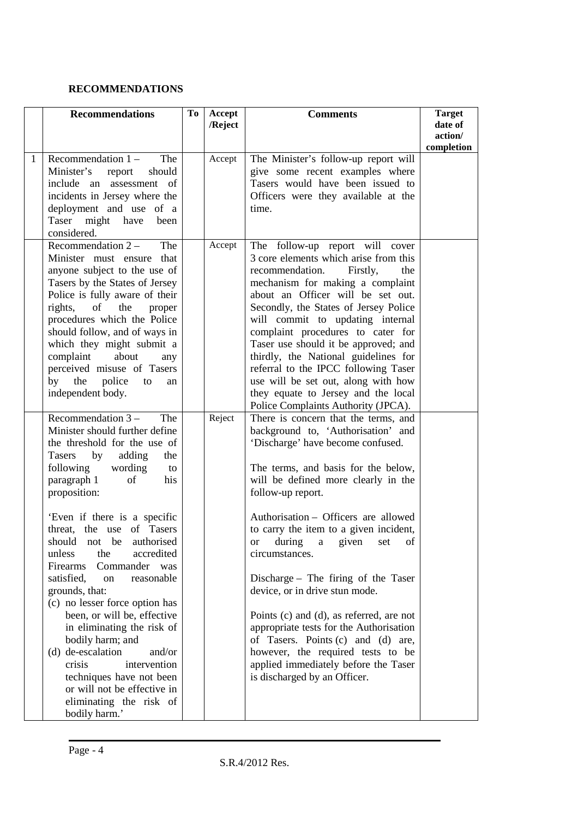### **RECOMMENDATIONS**

|   | <b>Recommendations</b>                                                                                                                                                                                                                                                                                                                                                                                                                                                                                                                                                                                                                                                                                  | To | Accept<br>/Reject | <b>Comments</b>                                                                                                                                                                                                                                                                                                                                                                                                                                                                                                                                                                                                                                                       | <b>Target</b><br>date of |
|---|---------------------------------------------------------------------------------------------------------------------------------------------------------------------------------------------------------------------------------------------------------------------------------------------------------------------------------------------------------------------------------------------------------------------------------------------------------------------------------------------------------------------------------------------------------------------------------------------------------------------------------------------------------------------------------------------------------|----|-------------------|-----------------------------------------------------------------------------------------------------------------------------------------------------------------------------------------------------------------------------------------------------------------------------------------------------------------------------------------------------------------------------------------------------------------------------------------------------------------------------------------------------------------------------------------------------------------------------------------------------------------------------------------------------------------------|--------------------------|
|   |                                                                                                                                                                                                                                                                                                                                                                                                                                                                                                                                                                                                                                                                                                         |    |                   |                                                                                                                                                                                                                                                                                                                                                                                                                                                                                                                                                                                                                                                                       | action/<br>completion    |
| 1 | Recommendation $1 -$<br>The<br>Minister's<br>report<br>should<br>include an assessment of<br>incidents in Jersey where the<br>deployment and use of a<br>Taser might have<br>been<br>considered.                                                                                                                                                                                                                                                                                                                                                                                                                                                                                                        |    | Accept            | The Minister's follow-up report will<br>give some recent examples where<br>Tasers would have been issued to<br>Officers were they available at the<br>time.                                                                                                                                                                                                                                                                                                                                                                                                                                                                                                           |                          |
|   | Recommendation $2 -$<br>The<br>Minister must ensure that<br>anyone subject to the use of<br>Tasers by the States of Jersey<br>Police is fully aware of their<br>rights, of the<br>proper<br>procedures which the Police<br>should follow, and of ways in<br>which they might submit a<br>complaint<br>about<br>any<br>perceived misuse of Tasers<br>by the police<br>to<br>an<br>independent body.                                                                                                                                                                                                                                                                                                      |    | Accept            | The follow-up report will cover<br>3 core elements which arise from this<br>recommendation.<br>Firstly,<br>the<br>mechanism for making a complaint<br>about an Officer will be set out.<br>Secondly, the States of Jersey Police<br>will commit to updating internal<br>complaint procedures to cater for<br>Taser use should it be approved; and<br>thirdly, the National guidelines for<br>referral to the IPCC following Taser<br>use will be set out, along with how<br>they equate to Jersey and the local<br>Police Complaints Authority (JPCA).                                                                                                                |                          |
|   | Recommendation $3 -$<br>The<br>Minister should further define<br>the threshold for the use of<br>adding<br>Tasers<br>by<br>the<br>following<br>wording<br>to<br>paragraph 1<br>of<br>his<br>proposition:<br>'Even if there is a specific<br>threat, the use of Tasers<br>should not be authorised<br>accredited<br>unless<br>the<br>Firearms<br>Commander<br>was<br>satisfied,<br>reasonable<br>on<br>grounds, that:<br>(c) no lesser force option has<br>been, or will be, effective<br>in eliminating the risk of<br>bodily harm; and<br>(d) de-escalation<br>and/or<br>crisis<br>intervention<br>techniques have not been<br>or will not be effective in<br>eliminating the risk of<br>bodily harm.' |    | Reject            | There is concern that the terms, and<br>background to, 'Authorisation' and<br>'Discharge' have become confused.<br>The terms, and basis for the below,<br>will be defined more clearly in the<br>follow-up report.<br>Authorisation – Officers are allowed<br>to carry the item to a given incident,<br>or during a given set of<br>circumstances.<br>Discharge - The firing of the Taser<br>device, or in drive stun mode.<br>Points (c) and (d), as referred, are not<br>appropriate tests for the Authorisation<br>of Tasers. Points (c) and (d) are,<br>however, the required tests to be<br>applied immediately before the Taser<br>is discharged by an Officer. |                          |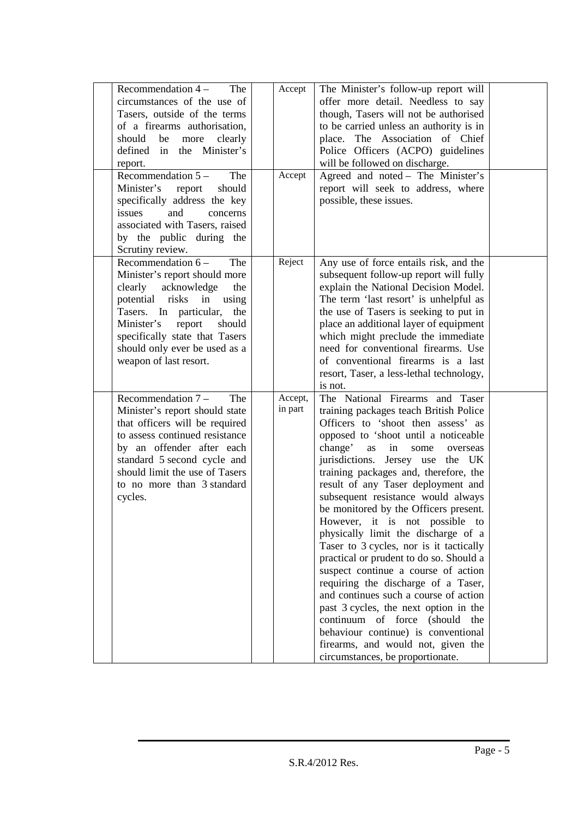| Recommendation $4-$<br>The<br>circumstances of the use of<br>Tasers, outside of the terms<br>of a firearms authorisation,<br>should<br>be<br>more<br>clearly<br>in the Minister's<br>defined<br>report.<br>Recommendation $5-$<br>The                                                    | Accept<br>Accept   | The Minister's follow-up report will<br>offer more detail. Needless to say<br>though, Tasers will not be authorised<br>to be carried unless an authority is in<br>place. The Association of Chief<br>Police Officers (ACPO) guidelines<br>will be followed on discharge.<br>Agreed and noted - The Minister's                                                                                                                                                                                                                                                                                                                                                                                                                                                                                                                                                                             |  |
|------------------------------------------------------------------------------------------------------------------------------------------------------------------------------------------------------------------------------------------------------------------------------------------|--------------------|-------------------------------------------------------------------------------------------------------------------------------------------------------------------------------------------------------------------------------------------------------------------------------------------------------------------------------------------------------------------------------------------------------------------------------------------------------------------------------------------------------------------------------------------------------------------------------------------------------------------------------------------------------------------------------------------------------------------------------------------------------------------------------------------------------------------------------------------------------------------------------------------|--|
| Minister's report<br>should<br>specifically address the key<br>issues<br>and<br>concerns<br>associated with Tasers, raised<br>by the public during the<br>Scrutiny review.                                                                                                               |                    | report will seek to address, where<br>possible, these issues.                                                                                                                                                                                                                                                                                                                                                                                                                                                                                                                                                                                                                                                                                                                                                                                                                             |  |
| Recommendation $6-$<br>The<br>Minister's report should more<br>clearly acknowledge<br>the<br>potential<br>risks in using<br>Tasers. In particular,<br>the<br>Minister's<br>report<br>should<br>specifically state that Tasers<br>should only ever be used as a<br>weapon of last resort. | Reject             | Any use of force entails risk, and the<br>subsequent follow-up report will fully<br>explain the National Decision Model.<br>The term 'last resort' is unhelpful as<br>the use of Tasers is seeking to put in<br>place an additional layer of equipment<br>which might preclude the immediate<br>need for conventional firearms. Use<br>of conventional firearms is a last<br>resort, Taser, a less-lethal technology,<br>is not.                                                                                                                                                                                                                                                                                                                                                                                                                                                          |  |
| Recommendation $7 -$<br>The<br>Minister's report should state<br>that officers will be required<br>to assess continued resistance<br>by an offender after each<br>standard 5 second cycle and<br>should limit the use of Tasers<br>to no more than 3 standard<br>cycles.                 | Accept,<br>in part | The National Firearms and Taser<br>training packages teach British Police<br>Officers to 'shoot then assess' as<br>opposed to 'shoot until a noticeable<br>change'<br>as<br>in<br>some<br>overseas<br>jurisdictions. Jersey use the UK<br>training packages and, therefore, the<br>result of any Taser deployment and<br>subsequent resistance would always<br>be monitored by the Officers present.<br>However, it is not possible to<br>physically limit the discharge of a<br>Taser to 3 cycles, nor is it tactically<br>practical or prudent to do so. Should a<br>suspect continue a course of action<br>requiring the discharge of a Taser,<br>and continues such a course of action<br>past 3 cycles, the next option in the<br>continuum of force (should<br>the<br>behaviour continue) is conventional<br>firearms, and would not, given the<br>circumstances, be proportionate. |  |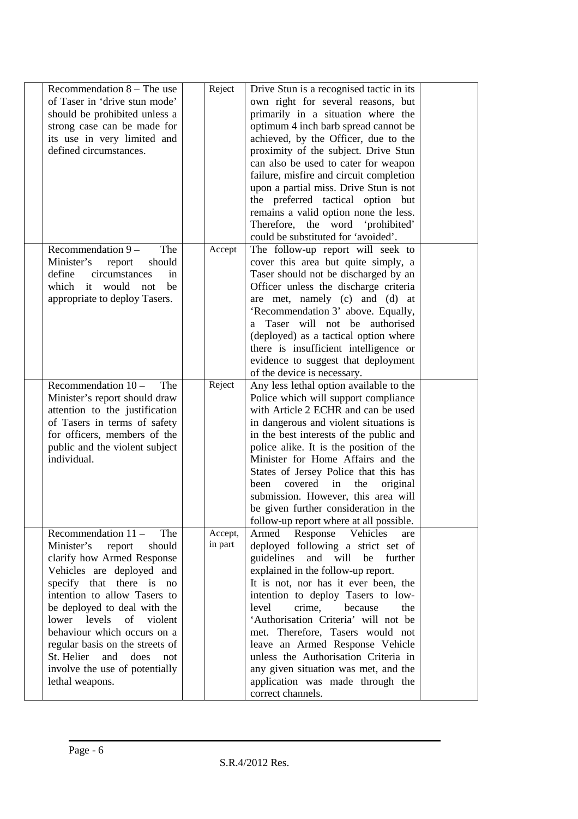| Recommendation $8$ – The use     | Reject  | Drive Stun is a recognised tactic in its |  |
|----------------------------------|---------|------------------------------------------|--|
| of Taser in 'drive stun mode'    |         | own right for several reasons, but       |  |
| should be prohibited unless a    |         | primarily in a situation where the       |  |
| strong case can be made for      |         | optimum 4 inch barb spread cannot be     |  |
| its use in very limited and      |         | achieved, by the Officer, due to the     |  |
| defined circumstances.           |         | proximity of the subject. Drive Stun     |  |
|                                  |         | can also be used to cater for weapon     |  |
|                                  |         | failure, misfire and circuit completion  |  |
|                                  |         | upon a partial miss. Drive Stun is not   |  |
|                                  |         | the preferred tactical option but        |  |
|                                  |         | remains a valid option none the less.    |  |
|                                  |         | Therefore, the word 'prohibited'         |  |
|                                  |         | could be substituted for 'avoided'.      |  |
| The<br>Recommendation $9 -$      | Accept  | The follow-up report will seek to        |  |
| Minister's<br>should<br>report   |         | cover this area but quite simply, a      |  |
| define<br>circumstances<br>in    |         | Taser should not be discharged by an     |  |
| which it would<br>be<br>not      |         | Officer unless the discharge criteria    |  |
| appropriate to deploy Tasers.    |         | are met, namely (c) and (d) at           |  |
|                                  |         | 'Recommendation 3' above. Equally,       |  |
|                                  |         | a Taser will not be authorised           |  |
|                                  |         |                                          |  |
|                                  |         | (deployed) as a tactical option where    |  |
|                                  |         | there is insufficient intelligence or    |  |
|                                  |         | evidence to suggest that deployment      |  |
|                                  |         | of the device is necessary.              |  |
| Recommendation $10 -$<br>The     | Reject  | Any less lethal option available to the  |  |
| Minister's report should draw    |         | Police which will support compliance     |  |
| attention to the justification   |         | with Article 2 ECHR and can be used      |  |
| of Tasers in terms of safety     |         | in dangerous and violent situations is   |  |
| for officers, members of the     |         | in the best interests of the public and  |  |
| public and the violent subject   |         | police alike. It is the position of the  |  |
| individual.                      |         | Minister for Home Affairs and the        |  |
|                                  |         | States of Jersey Police that this has    |  |
|                                  |         | covered<br>been<br>in<br>the<br>original |  |
|                                  |         | submission. However, this area will      |  |
|                                  |         | be given further consideration in the    |  |
|                                  |         | follow-up report where at all possible.  |  |
| Recommendation $11 -$<br>The     | Accept, | Armed Response Vehicles<br>are           |  |
| Minister's<br>should<br>report   | in part | deployed following a strict set of       |  |
| clarify how Armed Response       |         | guidelines<br>and will be<br>further     |  |
| Vehicles are deployed and        |         | explained in the follow-up report.       |  |
| specify that there is no         |         | It is not, nor has it ever been, the     |  |
| intention to allow Tasers to     |         | intention to deploy Tasers to low-       |  |
| be deployed to deal with the     |         | level<br>crime,<br>because<br>the        |  |
| lower levels<br>of violent       |         | 'Authorisation Criteria' will not be     |  |
| behaviour which occurs on a      |         | met. Therefore, Tasers would not         |  |
| regular basis on the streets of  |         | leave an Armed Response Vehicle          |  |
| St. Helier<br>and<br>does<br>not |         | unless the Authorisation Criteria in     |  |
| involve the use of potentially   |         | any given situation was met, and the     |  |
| lethal weapons.                  |         | application was made through the         |  |
|                                  |         | correct channels.                        |  |
|                                  |         |                                          |  |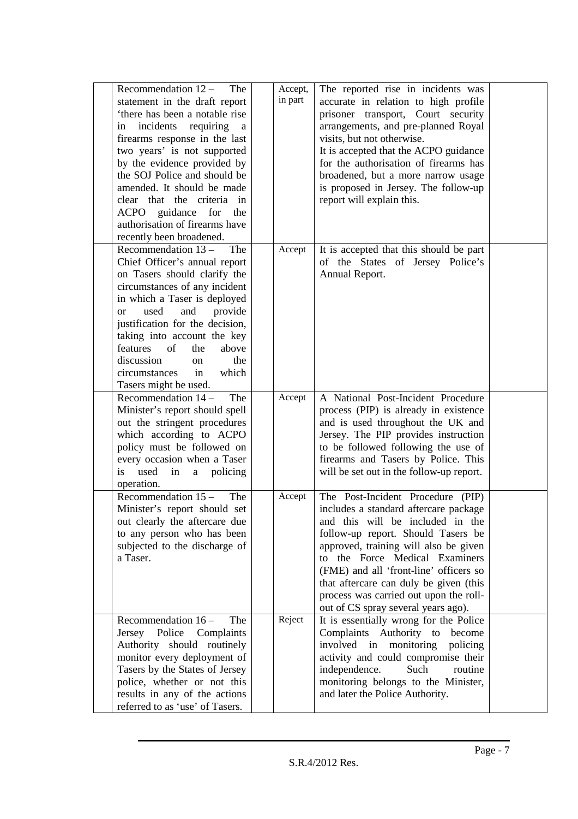| Recommendation $12 -$<br>The<br>statement in the draft report<br>'there has been a notable rise<br>incidents requiring<br>in<br>$\mathbf{a}$<br>firearms response in the last<br>two years' is not supported<br>by the evidence provided by<br>the SOJ Police and should be<br>amended. It should be made<br>clear that the criteria in<br>ACPO guidance for<br>the<br>authorisation of firearms have<br>recently been broadened. | Accept,<br>in part | The reported rise in incidents was<br>accurate in relation to high profile<br>prisoner transport, Court security<br>arrangements, and pre-planned Royal<br>visits, but not otherwise.<br>It is accepted that the ACPO guidance<br>for the authorisation of firearms has<br>broadened, but a more narrow usage<br>is proposed in Jersey. The follow-up<br>report will explain this.                   |  |
|-----------------------------------------------------------------------------------------------------------------------------------------------------------------------------------------------------------------------------------------------------------------------------------------------------------------------------------------------------------------------------------------------------------------------------------|--------------------|------------------------------------------------------------------------------------------------------------------------------------------------------------------------------------------------------------------------------------------------------------------------------------------------------------------------------------------------------------------------------------------------------|--|
| Recommendation $13 -$<br>The<br>Chief Officer's annual report<br>on Tasers should clarify the<br>circumstances of any incident<br>in which a Taser is deployed<br>and<br>used<br>provide<br><sub>or</sub><br>justification for the decision,<br>taking into account the key<br>features<br>of<br>the<br>above<br>discussion<br>the<br>on<br>which<br>circumstances<br>in<br>Tasers might be used.                                 | Accept             | It is accepted that this should be part<br>of the States of Jersey Police's<br>Annual Report.                                                                                                                                                                                                                                                                                                        |  |
| Recommendation $14 -$<br>The<br>Minister's report should spell<br>out the stringent procedures<br>which according to ACPO<br>policy must be followed on<br>every occasion when a Taser<br>used<br>in<br>a policing<br><i>is</i><br>operation.                                                                                                                                                                                     | Accept             | A National Post-Incident Procedure<br>process (PIP) is already in existence<br>and is used throughout the UK and<br>Jersey. The PIP provides instruction<br>to be followed following the use of<br>firearms and Tasers by Police. This<br>will be set out in the follow-up report.                                                                                                                   |  |
| Recommendation $15 -$<br>The<br>Minister's report should set<br>out clearly the aftercare due<br>to any person who has been<br>subjected to the discharge of<br>a Taser.                                                                                                                                                                                                                                                          | Accept             | The Post-Incident Procedure (PIP)<br>includes a standard aftercare package<br>and this will be included in the<br>follow-up report. Should Tasers be<br>approved, training will also be given<br>to the Force Medical Examiners<br>(FME) and all 'front-line' officers so<br>that aftercare can duly be given (this<br>process was carried out upon the roll-<br>out of CS spray several years ago). |  |
| Recommendation $16 -$<br>The<br>Jersey Police<br>Complaints<br>Authority should routinely<br>monitor every deployment of<br>Tasers by the States of Jersey<br>police, whether or not this<br>results in any of the actions<br>referred to as 'use' of Tasers.                                                                                                                                                                     | Reject             | It is essentially wrong for the Police<br>Complaints Authority to become<br>involved in<br>monitoring<br>policing<br>activity and could compromise their<br>independence.<br>Such<br>routine<br>monitoring belongs to the Minister,<br>and later the Police Authority.                                                                                                                               |  |